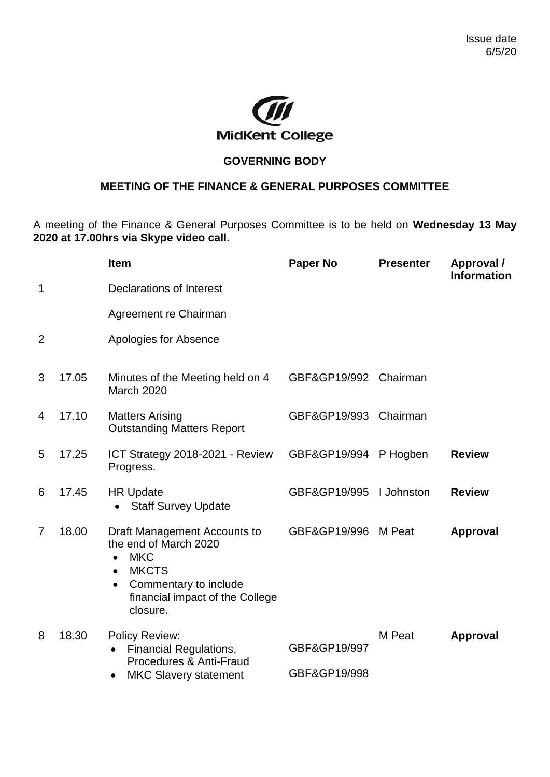

## **GOVERNING BODY**

## **MEETING OF THE FINANCE & GENERAL PURPOSES COMMITTEE**

A meeting of the Finance & General Purposes Committee is to be held on **Wednesday 13 May 2020 at 17.00hrs via Skype video call.**

|                |       | <b>Item</b>                                                                                                                                                                                        | <b>Paper No</b> | <b>Presenter</b> | Approval /<br><b>Information</b> |
|----------------|-------|----------------------------------------------------------------------------------------------------------------------------------------------------------------------------------------------------|-----------------|------------------|----------------------------------|
| 1              |       | <b>Declarations of Interest</b>                                                                                                                                                                    |                 |                  |                                  |
|                |       | Agreement re Chairman                                                                                                                                                                              |                 |                  |                                  |
| $\overline{2}$ |       | Apologies for Absence                                                                                                                                                                              |                 |                  |                                  |
| 3              | 17.05 | Minutes of the Meeting held on 4<br><b>March 2020</b>                                                                                                                                              | GBF&GP19/992    | Chairman         |                                  |
| 4              | 17.10 | <b>Matters Arising</b><br><b>Outstanding Matters Report</b>                                                                                                                                        | GBF&GP19/993    | Chairman         |                                  |
| 5              | 17.25 | ICT Strategy 2018-2021 - Review<br>Progress.                                                                                                                                                       | GBF&GP19/994    | P Hogben         | <b>Review</b>                    |
| 6              | 17.45 | <b>HR Update</b><br><b>Staff Survey Update</b>                                                                                                                                                     | GBF&GP19/995    | I Johnston       | <b>Review</b>                    |
| $\overline{7}$ | 18.00 | Draft Management Accounts to<br>the end of March 2020<br><b>MKC</b><br>$\bullet$<br><b>MKCTS</b><br>$\bullet$<br>Commentary to include<br>$\bullet$<br>financial impact of the College<br>closure. | GBF&GP19/996    | M Peat           | Approval                         |
| 8              | 18.30 | <b>Policy Review:</b><br><b>Financial Regulations,</b><br>Procedures & Anti-Fraud<br><b>MKC Slavery statement</b><br>٠                                                                             | GBF&GP19/997    | M Peat           | Approval                         |
|                |       |                                                                                                                                                                                                    | GBF&GP19/998    |                  |                                  |